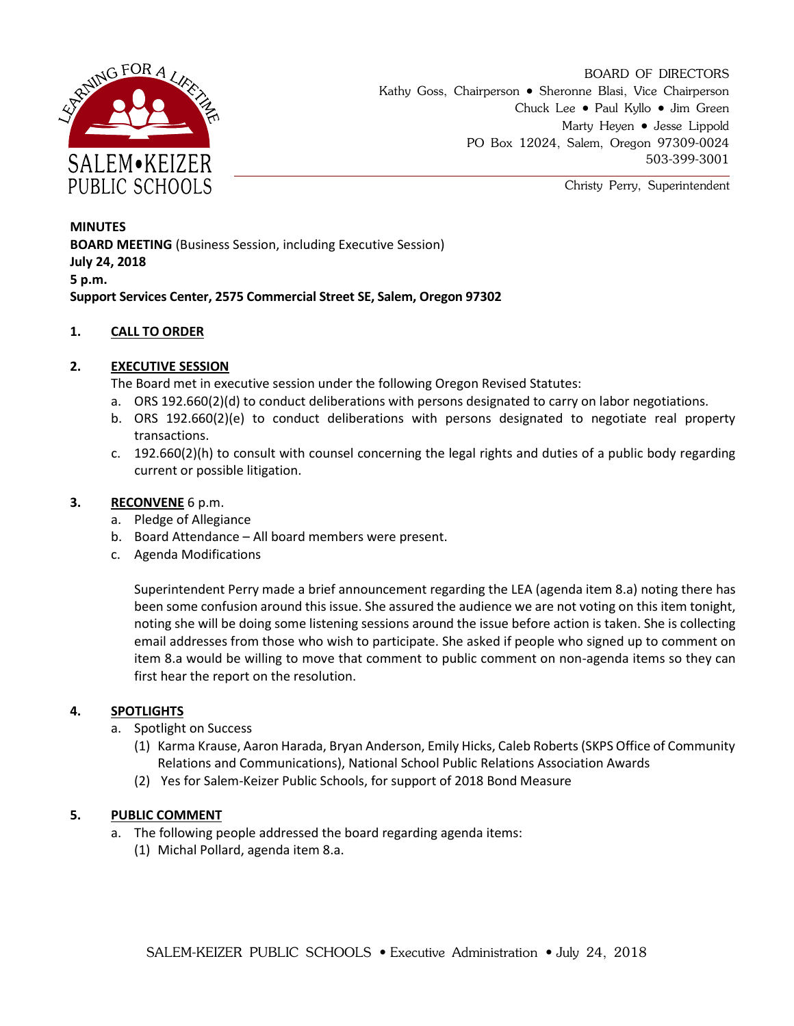

Christy Perry, Superintendent

**MINUTES BOARD MEETING** (Business Session, including Executive Session) **July 24, 2018 5 p.m. Support Services Center, 2575 Commercial Street SE, Salem, Oregon 97302**

## **1. CALL TO ORDER**

# **2. EXECUTIVE SESSION**

The Board met in executive session under the following Oregon Revised Statutes:

- a. ORS 192.660(2)(d) to conduct deliberations with persons designated to carry on labor negotiations.
- b. ORS 192.660(2)(e) to conduct deliberations with persons designated to negotiate real property transactions.
- c. 192.660(2)(h) to consult with counsel concerning the legal rights and duties of a public body regarding current or possible litigation.

## **3. RECONVENE** 6 p.m.

- a. Pledge of Allegiance
- b. Board Attendance All board members were present.
- c. Agenda Modifications

Superintendent Perry made a brief announcement regarding the LEA (agenda item 8.a) noting there has been some confusion around this issue. She assured the audience we are not voting on this item tonight, noting she will be doing some listening sessions around the issue before action is taken. She is collecting email addresses from those who wish to participate. She asked if people who signed up to comment on item 8.a would be willing to move that comment to public comment on non-agenda items so they can first hear the report on the resolution.

## **4. SPOTLIGHTS**

- a. Spotlight on Success
	- (1) Karma Krause, Aaron Harada, Bryan Anderson, Emily Hicks, Caleb Roberts (SKPS Office of Community Relations and Communications), National School Public Relations Association Awards
	- (2) Yes for Salem-Keizer Public Schools, for support of 2018 Bond Measure

## **5. PUBLIC COMMENT**

- a. The following people addressed the board regarding agenda items:
	- (1) Michal Pollard, agenda item 8.a.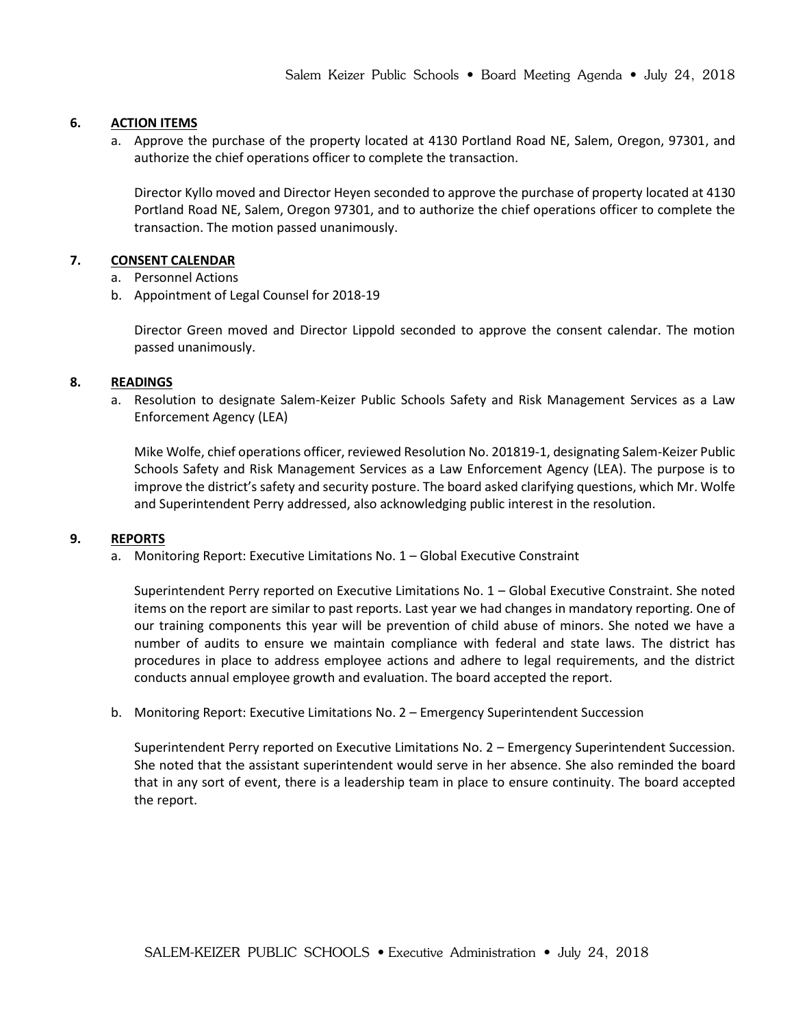### **6. ACTION ITEMS**

a. Approve the purchase of the property located at 4130 Portland Road NE, Salem, Oregon, 97301, and authorize the chief operations officer to complete the transaction.

Director Kyllo moved and Director Heyen seconded to approve the purchase of property located at 4130 Portland Road NE, Salem, Oregon 97301, and to authorize the chief operations officer to complete the transaction. The motion passed unanimously.

### **7. CONSENT CALENDAR**

- a. Personnel Actions
- b. Appointment of Legal Counsel for 2018-19

Director Green moved and Director Lippold seconded to approve the consent calendar. The motion passed unanimously.

### **8. READINGS**

a. Resolution to designate Salem-Keizer Public Schools Safety and Risk Management Services as a Law Enforcement Agency (LEA)

Mike Wolfe, chief operations officer, reviewed Resolution No. 201819-1, designating Salem-Keizer Public Schools Safety and Risk Management Services as a Law Enforcement Agency (LEA). The purpose is to improve the district's safety and security posture. The board asked clarifying questions, which Mr. Wolfe and Superintendent Perry addressed, also acknowledging public interest in the resolution.

#### **9. REPORTS**

a. Monitoring Report: Executive Limitations No. 1 – Global Executive Constraint

Superintendent Perry reported on Executive Limitations No. 1 – Global Executive Constraint. She noted items on the report are similar to past reports. Last year we had changes in mandatory reporting. One of our training components this year will be prevention of child abuse of minors. She noted we have a number of audits to ensure we maintain compliance with federal and state laws. The district has procedures in place to address employee actions and adhere to legal requirements, and the district conducts annual employee growth and evaluation. The board accepted the report.

b. Monitoring Report: Executive Limitations No. 2 – Emergency Superintendent Succession

Superintendent Perry reported on Executive Limitations No. 2 – Emergency Superintendent Succession. She noted that the assistant superintendent would serve in her absence. She also reminded the board that in any sort of event, there is a leadership team in place to ensure continuity. The board accepted the report.